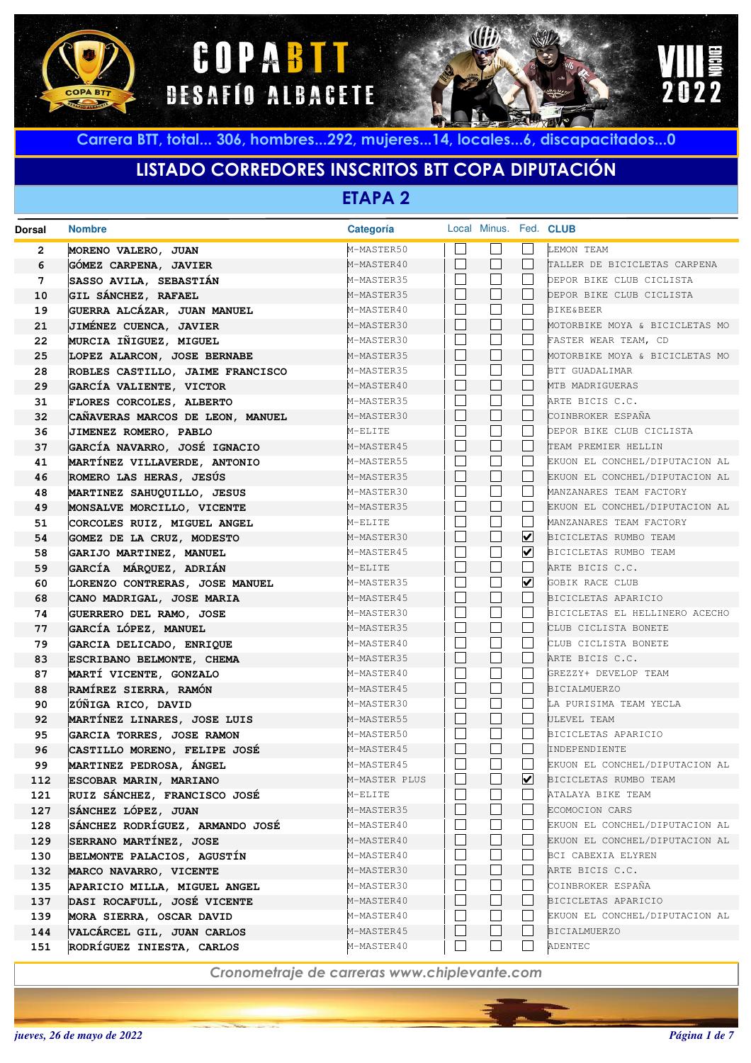





# **LISTADO CORREDORES INSCRITOS BTT COPA DIPUTACIÓN**

**ETAPA 2**

| <b>Dorsal</b> | <b>Nombre</b>                                           | <b>Categoría</b>         |                          | Local Minus. Fed. CLUB |                      |                                                 |
|---------------|---------------------------------------------------------|--------------------------|--------------------------|------------------------|----------------------|-------------------------------------------------|
| 2             | MORENO VALERO, JUAN                                     | M-MASTER50               |                          |                        |                      | LEMON TEAM                                      |
| 6             | GÓMEZ CARPENA, JAVIER                                   | M-MASTER40               |                          | $\vert \ \ \vert$      |                      | TALLER DE BICICLETAS CARPENA                    |
| 7             | SASSO AVILA, SEBASTIÁN                                  | M-MASTER35               | $\vert \ \ \vert$        | $\blacksquare$         |                      | DEPOR BIKE CLUB CICLISTA                        |
| 10            | GIL SÁNCHEZ, RAFAEL                                     | M-MASTER35               |                          | $\vert \ \ \vert$      |                      | DEPOR BIKE CLUB CICLISTA                        |
| 19            | GUERRA ALCÁZAR, JUAN MANUEL                             | M-MASTER40               | $\vert \ \ \vert$        |                        |                      | <b>BIKE&amp;BEER</b>                            |
| 21            | JIMÉNEZ CUENCA, JAVIER                                  | M-MASTER30               |                          | $\vert \ \ \vert$      |                      | MOTORBIKE MOYA & BICICLETAS MO                  |
| 22            | MURCIA IÑIGUEZ, MIGUEL                                  | M-MASTER30               | $\vert \ \ \vert$        |                        |                      | FASTER WEAR TEAM, CD                            |
| 25            | LOPEZ ALARCON, JOSE BERNABE                             | M-MASTER35               |                          | $\vert \ \ \vert$      |                      | MOTORBIKE MOYA & BICICLETAS MO                  |
| 28            | ROBLES CASTILLO, JAIME FRANCISCO                        | M-MASTER35               | $\vert \ \ \vert$        |                        |                      | BTT GUADALIMAR                                  |
| 29            | GARCÍA VALIENTE, VICTOR                                 | M-MASTER40               |                          | $\Box$                 |                      | MTB MADRIGUERAS                                 |
| 31            | FLORES CORCOLES, ALBERTO                                | M-MASTER35               | $\vert \ \ \vert$        |                        |                      | ARTE BICIS C.C.                                 |
| 32            | CAÑAVERAS MARCOS DE LEON, MANUEL                        | M-MASTER30               |                          | $\Box$                 |                      | COINBROKER ESPAÑA                               |
| 36            | JIMENEZ ROMERO, PABLO                                   | M-ELITE                  |                          |                        |                      | DEPOR BIKE CLUB CICLISTA                        |
| 37            | GARCÍA NAVARRO, JOSÉ IGNACIO                            | M-MASTER45               |                          | П                      |                      | TEAM PREMIER HELLIN                             |
| 41            | MARTÍNEZ VILLAVERDE, ANTONIO                            | M-MASTER55               | $\vert \ \ \vert$        | $\blacksquare$         |                      | EKUON EL CONCHEL/DIPUTACION AL                  |
| 46            | ROMERO LAS HERAS, JESÚS                                 | M-MASTER35               |                          | $\Box$                 |                      | EKUON EL CONCHEL/DIPUTACION AL                  |
| 48            | MARTINEZ SAHUQUILLO, JESUS                              | M-MASTER30               | $\vert \ \ \vert$        |                        |                      | MANZANARES TEAM FACTORY                         |
| 49            | MONSALVE MORCILLO, VICENTE                              | M-MASTER35               |                          | $\vert \ \ \vert$      |                      | EKUON EL CONCHEL/DIPUTACION AL                  |
| 51            | CORCOLES RUIZ, MIGUEL ANGEL                             | M-ELITE                  | $\overline{\phantom{a}}$ | $\blacksquare$         |                      | MANZANARES TEAM FACTORY                         |
| 54            | GOMEZ DE LA CRUZ, MODESTO                               | M-MASTER30               |                          | $\blacksquare$         | ⊻                    | BICICLETAS RUMBO TEAM                           |
| 58            | GARIJO MARTINEZ, MANUEL                                 | M-MASTER45               | $\vert \ \ \vert$        |                        | $\blacktriangledown$ | BICICLETAS RUMBO TEAM                           |
| 59            | GARCÍA MÁRQUEZ, ADRIÁN                                  | M-ELITE                  |                          | $\blacksquare$         |                      | ARTE BICIS C.C.                                 |
| 60            | LORENZO CONTRERAS, JOSE MANUEL                          | M-MASTER35               | $\vert \ \ \vert$        |                        | ⊻                    | GOBIK RACE CLUB                                 |
| 68            | CANO MADRIGAL, JOSE MARIA                               | M-MASTER45               |                          | $\blacksquare$         |                      | BICICLETAS APARICIO                             |
| 74            | GUERRERO DEL RAMO, JOSE                                 | M-MASTER30               | $\vert \ \ \vert$        |                        |                      | BICICLETAS EL HELLINERO ACECHO                  |
| 77            | GARCÍA LÓPEZ, MANUEL                                    | M-MASTER35               |                          | $\vert \ \ \vert$      |                      | CLUB CICLISTA BONETE                            |
| 79            | GARCIA DELICADO, ENRIQUE                                | M-MASTER40               | $\vert \ \ \vert$        |                        |                      | CLUB CICLISTA BONETE                            |
| 83            | ESCRIBANO BELMONTE, CHEMA                               | M-MASTER35               |                          | $\Box$                 |                      | ARTE BICIS C.C.                                 |
| 87            | MARTÍ VICENTE, GONZALO                                  | M-MASTER40               | $\vert \ \ \vert$        |                        |                      | GREZZY+ DEVELOP TEAM                            |
| 88            | RAMÍREZ SIERRA, RAMÓN                                   | M-MASTER45               | $\vert \ \ \vert$        | $\Box$                 |                      | <b>BICIALMUERZO</b>                             |
| 90            | ZÚÑIGA RICO, DAVID                                      | M-MASTER30               |                          | $\Box$                 |                      | LA PURISIMA TEAM YECLA                          |
| 92            | MARTÍNEZ LINARES, JOSE LUIS                             | M-MASTER55               | $\vert \ \ \vert$        | $\blacksquare$         |                      | ULEVEL TEAM                                     |
| 95            | GARCIA TORRES, JOSE RAMON                               | M-MASTER50               | П                        | $\Box$                 |                      | BICICLETAS APARICIO                             |
| 96<br>99      | CASTILLO MORENO, FELIPE JOSÉ<br>MARTINEZ PEDROSA, ÁNGEL | M-MASTER45<br>M-MASTER45 |                          |                        |                      | INDEPENDIENTE<br>EKUON EL CONCHEL/DIPUTACION AL |
| 112           |                                                         | M-MASTER PLUS            |                          |                        | $\blacktriangledown$ | BICICLETAS RUMBO TEAM                           |
| 121           | ESCOBAR MARIN, MARIANO<br>RUIZ SÁNCHEZ, FRANCISCO JOSÉ  | M-ELITE                  |                          |                        |                      | ATALAYA BIKE TEAM                               |
| 127           | SÁNCHEZ LÓPEZ, JUAN                                     | M-MASTER35               |                          |                        |                      | ECOMOCION CARS                                  |
| 128           | SÁNCHEZ RODRÍGUEZ, ARMANDO JOSÉ                         | M-MASTER40               |                          |                        |                      | EKUON EL CONCHEL/DIPUTACION AL                  |
| 129           | SERRANO MARTÍNEZ, JOSE                                  | M-MASTER40               |                          |                        |                      | EKUON EL CONCHEL/DIPUTACION AL                  |
| 130           | BELMONTE PALACIOS, AGUSTÍN                              | M-MASTER40               |                          |                        |                      | BCI CABEXIA ELYREN                              |
| 132           | MARCO NAVARRO, VICENTE                                  | M-MASTER30               |                          |                        |                      | ARTE BICIS C.C.                                 |
| 135           | APARICIO MILLA, MIGUEL ANGEL                            | M-MASTER30               |                          |                        |                      | COINBROKER ESPAÑA                               |
| 137           | DASI ROCAFULL, JOSÉ VICENTE                             | M-MASTER40               |                          |                        |                      | BICICLETAS APARICIO                             |
| 139           | MORA SIERRA, OSCAR DAVID                                | M-MASTER40               |                          |                        |                      | EKUON EL CONCHEL/DIPUTACION AL                  |
| 144           | VALCÁRCEL GIL, JUAN CARLOS                              | M-MASTER45               |                          |                        |                      | <b>BICIALMUERZO</b>                             |
| 151           | RODRÍGUEZ INIESTA, CARLOS                               | M-MASTER40               | ×.                       |                        |                      | ADENTEC                                         |
|               |                                                         |                          |                          |                        |                      |                                                 |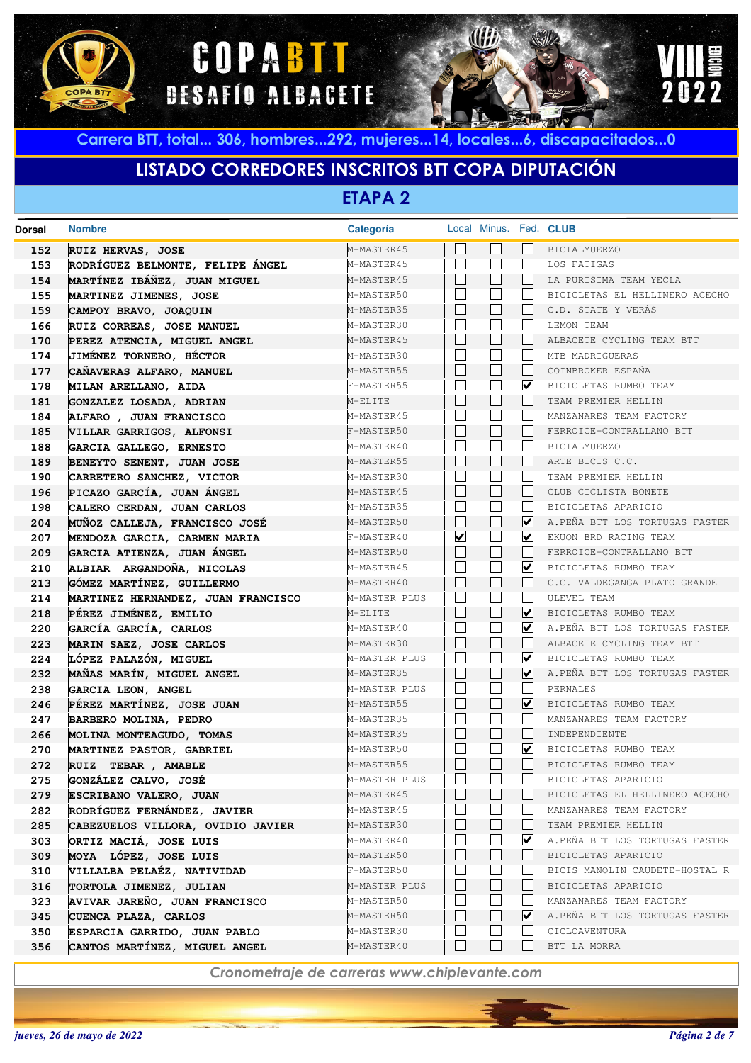





# **LISTADO CORREDORES INSCRITOS BTT COPA DIPUTACIÓN**

**ETAPA 2**

| Dorsal     | <b>Nombre</b>                                               | Categoría                |                          |                          |                         | Local Minus. Fed. CLUB                                    |
|------------|-------------------------------------------------------------|--------------------------|--------------------------|--------------------------|-------------------------|-----------------------------------------------------------|
| 152        | RUIZ HERVAS, JOSE                                           | M-MASTER45               |                          |                          |                         | <b>BICIALMUERZO</b>                                       |
| 153        | RODRÍGUEZ BELMONTE, FELIPE ÁNGEL                            | M-MASTER45               | П                        | $\blacksquare$           |                         | LOS FATIGAS                                               |
| 154        | MARTÍNEZ IBÁÑEZ, JUAN MIGUEL                                | M-MASTER45               |                          | $\vert \ \ \vert$        |                         | LA PURISIMA TEAM YECLA                                    |
| 155        | MARTINEZ JIMENES, JOSE                                      | M-MASTER50               | П                        | $\Box$                   |                         | BICICLETAS EL HELLINERO ACECHO                            |
| 159        | CAMPOY BRAVO, JOAQUIN                                       | M-MASTER35               |                          | П                        |                         | C.D. STATE Y VERÁS                                        |
| 166        | RUIZ CORREAS, JOSE MANUEL                                   | M-MASTER30               |                          | $\Box$                   |                         | LEMON TEAM                                                |
| 170        | PEREZ ATENCIA, MIGUEL ANGEL                                 | M-MASTER45               |                          | $\Box$                   |                         | ALBACETE CYCLING TEAM BTT                                 |
| 174        | JIMÉNEZ TORNERO, HÉCTOR                                     | M-MASTER30               |                          | $\Box$                   |                         | MTB MADRIGUERAS                                           |
| 177        | CAÑAVERAS ALFARO, MANUEL                                    | M-MASTER55               |                          | $\Box$                   |                         | COINBROKER ESPAÑA                                         |
| 178        | MILAN ARELLANO, AIDA                                        | F-MASTER55               | $\overline{\phantom{a}}$ | $\overline{\phantom{a}}$ | $\blacktriangledown$    | BICICLETAS RUMBO TEAM                                     |
| 181        | GONZALEZ LOSADA, ADRIAN                                     | M-ELITE                  |                          | $\Box$                   |                         | TEAM PREMIER HELLIN                                       |
| 184        | ALFARO , JUAN FRANCISCO                                     | M-MASTER45               | П                        | $\Box$                   |                         | MANZANARES TEAM FACTORY                                   |
| 185        | VILLAR GARRIGOS, ALFONSI                                    | F-MASTER50               | $\mathbf{I}$             | $\Box$                   |                         | FERROICE-CONTRALLANO BTT                                  |
| 188        | GARCIA GALLEGO, ERNESTO                                     | M-MASTER40               | П                        | $\overline{\phantom{a}}$ |                         | <b>BICIALMUERZO</b>                                       |
| 189        | BENEYTO SENENT, JUAN JOSE                                   | M-MASTER55               | $\mathbf{L}$             | $\Box$                   |                         | ARTE BICIS C.C.                                           |
| 190        | CARRETERO SANCHEZ, VICTOR                                   | M-MASTER30               | П                        | $\overline{\phantom{a}}$ |                         | TEAM PREMIER HELLIN                                       |
| 196        | PICAZO GARCÍA, JUAN ÁNGEL                                   | M-MASTER45               | $\mathbf{L}$             | $\Box$                   |                         | CLUB CICLISTA BONETE                                      |
| 198        | CALERO CERDAN, JUAN CARLOS                                  | M-MASTER35               |                          | $\Box$                   |                         | BICICLETAS APARICIO                                       |
| 204        | MUÑOZ CALLEJA, FRANCISCO JOSÉ                               | M-MASTER50               | $\mathbf{I}$             | $\Box$                   | $\blacktriangledown$    | A.PEÑA BTT LOS TORTUGAS FASTER                            |
| 207        | MENDOZA GARCIA, CARMEN MARIA                                | F-MASTER40               | $\overline{\mathbf{v}}$  | $\Box$                   | $\blacktriangledown$    | EKUON BRD RACING TEAM                                     |
| 209        | GARCIA ATIENZA, JUAN ÁNGEL                                  | M-MASTER50               |                          | П                        |                         | FERROICE-CONTRALLANO BTT                                  |
| 210        | ALBIAR ARGANDOÑA, NICOLAS                                   | M-MASTER45               | П                        | $\Box$                   | $\blacktriangledown$    | BICICLETAS RUMBO TEAM                                     |
| 213        | GÓMEZ MARTÍNEZ, GUILLERMO                                   | M-MASTER40               | $\mathbf{I}$             | П                        |                         | C.C. VALDEGANGA PLATO GRANDE                              |
| 214        | MARTINEZ HERNANDEZ, JUAN FRANCISCO                          | M-MASTER PLUS            | $\overline{\phantom{a}}$ | $\Box$                   |                         | ULEVEL TEAM                                               |
| 218        | PÉREZ JIMÉNEZ, EMILIO                                       | M-ELITE                  |                          | П                        | $\overline{\mathbf{v}}$ | BICICLETAS RUMBO TEAM                                     |
| 220        | GARCÍA GARCÍA, CARLOS                                       | M-MASTER40               | П                        | $\blacksquare$           | $\vert\mathbf{v}\vert$  | A.PEÑA BTT LOS TORTUGAS FASTER                            |
| 223        | MARIN SAEZ, JOSE CARLOS                                     | M-MASTER30               |                          | $\Box$                   |                         | ALBACETE CYCLING TEAM BTT                                 |
| 224        | LÓPEZ PALAZÓN, MIGUEL                                       | M-MASTER PLUS            |                          | $\blacksquare$           | $\overline{\mathbf{v}}$ | BICICLETAS RUMBO TEAM                                     |
| 232        | MAÑAS MARÍN, MIGUEL ANGEL                                   | M-MASTER35               |                          | $\Box$                   | $\overline{\mathbf{v}}$ | A.PEÑA BTT LOS TORTUGAS FASTER                            |
| 238        | GARCIA LEON, ANGEL                                          | M-MASTER PLUS            |                          | ٦                        |                         | PERNALES                                                  |
| 246        | PÉREZ MARTÍNEZ, JOSE JUAN                                   | M-MASTER55               | $\mathbf{I}$             | П                        | $\blacktriangledown$    | BICICLETAS RUMBO TEAM                                     |
| 247        | BARBERO MOLINA, PEDRO                                       | M-MASTER35               | П                        | ٦                        |                         | MANZANARES TEAM FACTORY                                   |
| 266        | MOLINA MONTEAGUDO, TOMAS                                    | M-MASTER35               |                          | $\Box$<br>٦              | $\overline{\mathbf{v}}$ | INDEPENDIENTE                                             |
| 270        | MARTINEZ PASTOR, GABRIEL                                    | M-MASTER50               | $\mathbf{I}$             | П                        |                         | BICICLETAS RUMBO TEAM                                     |
| 272        | RUIZ TEBAR , AMABLE                                         | M-MASTER55               | $\overline{\phantom{a}}$ |                          |                         | BICICLETAS RUMBO TEAM                                     |
| 275        | GONZÁLEZ CALVO, JOSÉ                                        | M-MASTER PLUS            |                          |                          |                         | BICICLETAS APARICIO                                       |
| 279<br>282 | ESCRIBANO VALERO, JUAN<br>RODRÍGUEZ FERNÁNDEZ, JAVIER       | M-MASTER45<br>M-MASTER45 |                          |                          |                         | BICICLETAS EL HELLINERO ACECHO<br>MANZANARES TEAM FACTORY |
| 285        |                                                             | M-MASTER30               |                          | $\mathsf{L}$             |                         | TEAM PREMIER HELLIN                                       |
| 303        | CABEZUELOS VILLORA, OVIDIO JAVIER<br>ORTIZ MACIÁ, JOSE LUIS | M-MASTER40               |                          |                          | ⊻                       | A.PEÑA BTT LOS TORTUGAS FASTER                            |
| 309        | MOYA LÓPEZ, JOSE LUIS                                       | M-MASTER50               |                          | $\Box$                   |                         | BICICLETAS APARICIO                                       |
| 310        | VILLALBA PELAÉZ, NATIVIDAD                                  | F-MASTER50               |                          | $\mathcal{L}$            |                         | BICIS MANOLIN CAUDETE-HOSTAL R                            |
| 316        | TORTOLA JIMENEZ, JULIAN                                     | M-MASTER PLUS            |                          | $\mathsf{L}$             |                         | BICICLETAS APARICIO                                       |
| 323        | AVIVAR JAREÑO, JUAN FRANCISCO                               | M-MASTER50               | $\overline{\phantom{a}}$ | $\blacksquare$           |                         | MANZANARES TEAM FACTORY                                   |
| 345        | CUENCA PLAZA, CARLOS                                        | M-MASTER50               |                          | $\vert \ \ \vert$        | ⊻                       | A.PEÑA BTT LOS TORTUGAS FASTER                            |
| 350        | ESPARCIA GARRIDO, JUAN PABLO                                | M-MASTER30               |                          |                          |                         | CICLOAVENTURA                                             |
| 356        | CANTOS MARTÍNEZ, MIGUEL ANGEL                               | M-MASTER40               |                          | $\Box$                   |                         | BTT LA MORRA                                              |
|            |                                                             |                          |                          |                          |                         |                                                           |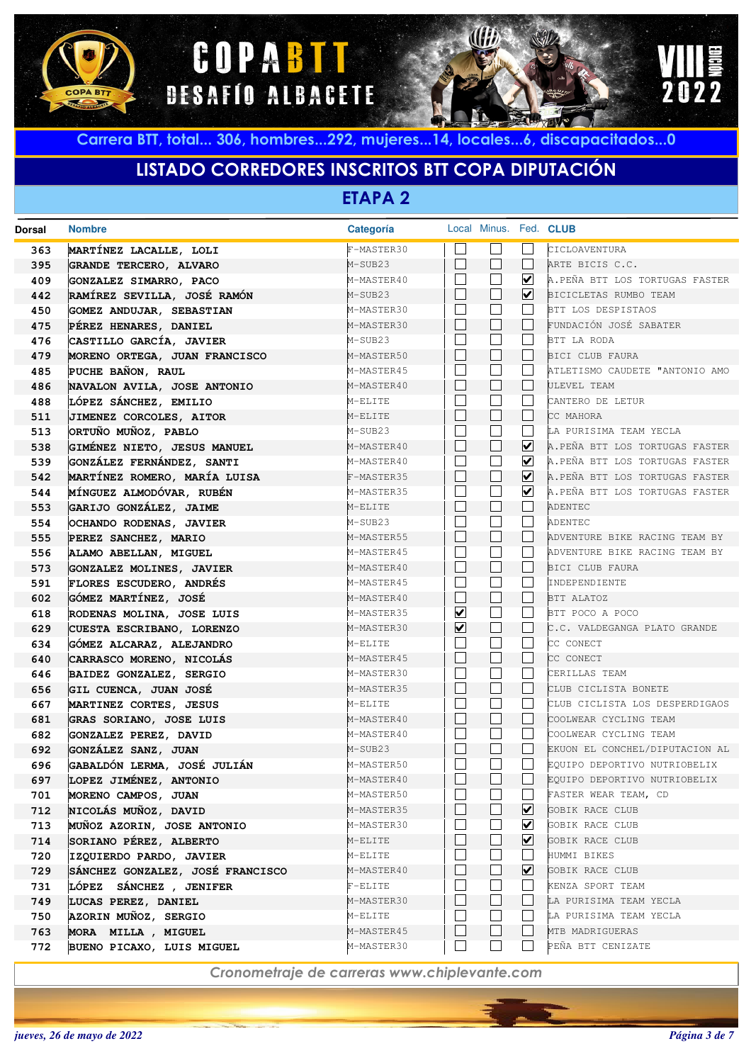





# **LISTADO CORREDORES INSCRITOS BTT COPA DIPUTACIÓN**

**ETAPA 2**

| <b>Dorsal</b> | <b>Nombre</b>                                               | Categoría             |                         |                   |                      | Local Minus. Fed. CLUB                  |
|---------------|-------------------------------------------------------------|-----------------------|-------------------------|-------------------|----------------------|-----------------------------------------|
| 363           | MARTÍNEZ LACALLE, LOLI                                      | F-MASTER30            |                         |                   |                      | CICLOAVENTURA                           |
| 395           | GRANDE TERCERO, ALVARO                                      | M-SUB23               |                         | $\vert \ \ \vert$ | $\mathbf{I}$         | ARTE BICIS C.C.                         |
| 409           | GONZALEZ SIMARRO, PACO                                      | M-MASTER40            |                         |                   | ⊻                    | A.PEÑA BTT LOS TORTUGAS FASTER          |
| 442           | RAMÍREZ SEVILLA, JOSÉ RAMÓN                                 | M-SUB23               |                         |                   | $\blacktriangledown$ | BICICLETAS RUMBO TEAM                   |
| 450           | GOMEZ ANDUJAR, SEBASTIAN                                    | M-MASTER30            |                         |                   |                      | BTT LOS DESPISTAOS                      |
| 475           | PÉREZ HENARES, DANIEL                                       | M-MASTER30            |                         |                   |                      | FUNDACIÓN JOSÉ SABATER                  |
| 476           | CASTILLO GARCÍA, JAVIER                                     | M-SUB23               |                         |                   |                      | BTT LA RODA                             |
| 479           | MORENO ORTEGA, JUAN FRANCISCO                               | M-MASTER50            |                         | $\mathbf{L}$      |                      | BICI CLUB FAURA                         |
| 485           | PUCHE BAÑON, RAUL                                           | M-MASTER45            |                         |                   |                      | ATLETISMO CAUDETE "ANTONIO AMO          |
| 486           | NAVALON AVILA, JOSE ANTONIO                                 | M-MASTER40            |                         | $\mathbf{L}$      |                      | ULEVEL TEAM                             |
| 488           | LÓPEZ SÁNCHEZ, EMILIO                                       | M-ELITE               |                         |                   |                      | CANTERO DE LETUR                        |
| 511           | JIMENEZ CORCOLES, AITOR                                     | M-ELITE               |                         | L                 |                      | CC MAHORA                               |
| 513           | ORTUÑO MUÑOZ, PABLO                                         | M-SUB23               |                         |                   |                      | LA PURISIMA TEAM YECLA                  |
| 538           | GIMÉNEZ NIETO, JESUS MANUEL                                 | M-MASTER40            |                         | L                 | ⊻                    | A.PEÑA BTT LOS TORTUGAS FASTER          |
| 539           | GONZÁLEZ FERNÁNDEZ, SANTI                                   | M-MASTER40            |                         |                   | $\blacktriangledown$ | A.PEÑA BTT LOS TORTUGAS FASTER          |
| 542           | MARTÍNEZ ROMERO, MARÍA LUISA                                | F-MASTER35            |                         | L                 | $\blacktriangledown$ | A.PEÑA BTT LOS TORTUGAS FASTER          |
| 544           | MÍNGUEZ ALMODÓVAR, RUBÉN                                    | M-MASTER35            |                         |                   | $\blacktriangledown$ | A.PEÑA BTT LOS TORTUGAS FASTER          |
| 553           | GARIJO GONZÁLEZ, JAIME                                      | M-ELITE               |                         | k.                |                      | ADENTEC                                 |
| 554           | OCHANDO RODENAS, JAVIER                                     | M-SUB23               |                         |                   |                      | ADENTEC                                 |
| 555           | PEREZ SANCHEZ, MARIO                                        | M-MASTER55            |                         | L                 |                      | ADVENTURE BIKE RACING TEAM BY           |
| 556           | ALAMO ABELLAN, MIGUEL                                       | M-MASTER45            |                         |                   |                      | ADVENTURE BIKE RACING TEAM BY           |
| 573           | <b>GONZALEZ MOLINES, JAVIER</b>                             | M-MASTER40            |                         | $\mathbf{L}$      |                      | BICI CLUB FAURA                         |
| 591           | FLORES ESCUDERO, ANDRÉS                                     | M-MASTER45            |                         |                   |                      | INDEPENDIENTE                           |
| 602           | GÓMEZ MARTÍNEZ, JOSÉ                                        | M-MASTER40            |                         | L                 |                      | BTT ALATOZ                              |
| 618           | RODENAS MOLINA, JOSE LUIS                                   | M-MASTER35            | $\overline{\mathbf{v}}$ |                   |                      | BTT POCO A POCO                         |
| 629           | CUESTA ESCRIBANO, LORENZO                                   | M-MASTER30            | ⊻                       | $\mathbf{L}$      |                      | C.C. VALDEGANGA PLATO GRANDE            |
| 634           | GÓMEZ ALCARAZ, ALEJANDRO                                    | M-ELITE               |                         |                   |                      | CC CONECT                               |
| 640           | CARRASCO MORENO, NICOLÁS                                    | M-MASTER45            |                         | $\mathbf{L}$      |                      | CC CONECT                               |
| 646           | BAIDEZ GONZALEZ, SERGIO                                     | M-MASTER30            |                         |                   |                      | CERILLAS TEAM                           |
| 656           | GIL CUENCA, JUAN JOSÉ                                       | M-MASTER35            |                         | $\mathbf{L}$      |                      | CLUB CICLISTA BONETE                    |
| 667           | MARTINEZ CORTES, JESUS                                      | M-ELITE               |                         |                   |                      | CLUB CICLISTA LOS DESPERDIGAOS          |
| 681           | GRAS SORIANO, JOSE LUIS                                     | M-MASTER40            |                         | $\mathbf{L}$      |                      | COOLWEAR CYCLING TEAM                   |
| 682           | GONZALEZ PEREZ, DAVID                                       | M-MASTER40            |                         |                   |                      | COOLWEAR CYCLING TEAM                   |
| 692           | GONZÁLEZ SANZ, JUAN                                         | M-SUB23               |                         | $\mathbf{L}$      |                      | EKUON EL CONCHEL/DIPUTACION AL          |
| 696           | GABALDÓN LERMA, JOSÉ JULIÁN                                 | M-MASTER50            |                         |                   |                      | EQUIPO DEPORTIVO NUTRIOBELIX            |
| 697           | LOPEZ JIMÉNEZ, ANTONIO                                      | M-MASTER40            |                         |                   |                      | EQUIPO DEPORTIVO NUTRIOBELIX            |
| 701           | MORENO CAMPOS, JUAN                                         | M-MASTER50            |                         |                   | ⊻                    | FASTER WEAR TEAM, CD<br>GOBIK RACE CLUB |
| 712           | NICOLÁS MUÑOZ, DAVID                                        | M-MASTER35            |                         |                   | ⊻                    | GOBIK RACE CLUB                         |
| 713           | MUÑOZ AZORIN, JOSE ANTONIO                                  | M-MASTER30<br>M-ELITE |                         |                   | ⊻                    |                                         |
| 714           | SORIANO PÉREZ, ALBERTO                                      |                       |                         |                   |                      | GOBIK RACE CLUB                         |
| 720<br>729    | IZQUIERDO PARDO, JAVIER<br>SÁNCHEZ GONZALEZ, JOSÉ FRANCISCO | M-ELITE<br>M-MASTER40 |                         |                   | ⊻                    | HUMMI BIKES<br>GOBIK RACE CLUB          |
|               |                                                             |                       |                         |                   |                      | KENZA SPORT TEAM                        |
| 731<br>749    | LÓPEZ SÁNCHEZ , JENIFER                                     | F-ELITE<br>M-MASTER30 |                         |                   |                      | LA PURISIMA TEAM YECLA                  |
| 750           | LUCAS PEREZ, DANIEL<br>AZORIN MUÑOZ, SERGIO                 | M-ELITE               |                         |                   |                      | LA PURISIMA TEAM YECLA                  |
| 763           | MORA MILLA, MIGUEL                                          | M-MASTER45            |                         |                   |                      | MTB MADRIGUERAS                         |
| 772           | BUENO PICAXO, LUIS MIGUEL                                   | M-MASTER30            |                         |                   |                      | PEÑA BTT CENIZATE                       |
|               |                                                             |                       |                         |                   |                      |                                         |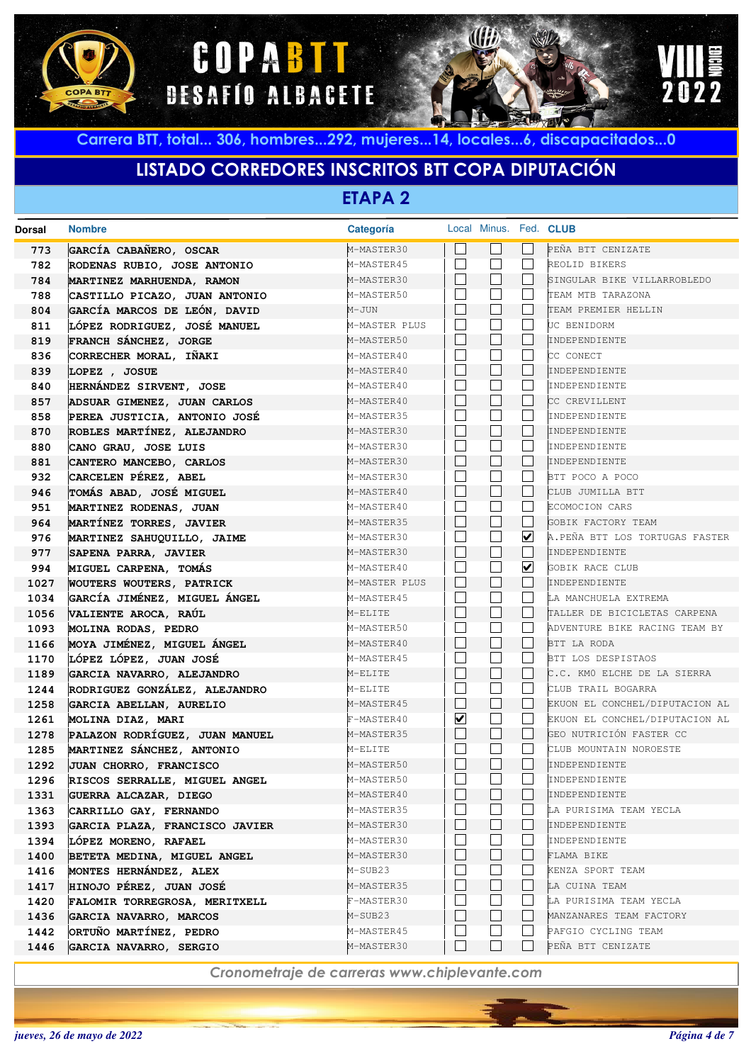





# **LISTADO CORREDORES INSCRITOS BTT COPA DIPUTACIÓN**

**ETAPA 2**

| Dorsal | <b>Nombre</b>                   | Categoría     |                         | Local Minus. Fed. CLUB |              |                                |
|--------|---------------------------------|---------------|-------------------------|------------------------|--------------|--------------------------------|
| 773    | GARCÍA CABAÑERO, OSCAR          | M-MASTER30    |                         |                        |              | PEÑA BTT CENIZATE              |
| 782    | RODENAS RUBIO, JOSE ANTONIO     | M-MASTER45    |                         |                        | L.           | REOLID BIKERS                  |
| 784    | MARTINEZ MARHUENDA, RAMON       | M-MASTER30    | $\mathbf{L}$            |                        |              | SINGULAR BIKE VILLARROBLEDO    |
| 788    | CASTILLO PICAZO, JUAN ANTONIO   | M-MASTER50    |                         |                        |              | TEAM MTB TARAZONA              |
| 804    | GARCÍA MARCOS DE LEÓN, DAVID    | M-JUN         |                         |                        |              | TEAM PREMIER HELLIN            |
| 811    | LÓPEZ RODRIGUEZ, JOSÉ MANUEL    | M-MASTER PLUS |                         |                        |              | UC BENIDORM                    |
| 819    | FRANCH SÁNCHEZ, JORGE           | M-MASTER50    |                         |                        |              | INDEPENDIENTE                  |
| 836    | CORRECHER MORAL, IÑAKI          | M-MASTER40    |                         |                        |              | CC CONECT                      |
| 839    | LOPEZ , JOSUE                   | M-MASTER40    | $\mathbf{L}$            |                        |              | INDEPENDIENTE                  |
| 840    | HERNÁNDEZ SIRVENT, JOSE         | M-MASTER40    |                         |                        |              | INDEPENDIENTE                  |
| 857    | ADSUAR GIMENEZ, JUAN CARLOS     | M-MASTER40    | L                       |                        |              | CC CREVILLENT                  |
| 858    | PEREA JUSTICIA, ANTONIO JOSÉ    | M-MASTER35    |                         |                        |              | INDEPENDIENTE                  |
| 870    | ROBLES MARTÍNEZ, ALEJANDRO      | M-MASTER30    | $\mathbf{L}$            |                        |              | INDEPENDIENTE                  |
| 880    | CANO GRAU, JOSE LUIS            | M-MASTER30    |                         |                        |              | INDEPENDIENTE                  |
| 881    | CANTERO MANCEBO, CARLOS         | M-MASTER30    | $\mathbf{L}$            |                        |              | INDEPENDIENTE                  |
| 932    | CARCELEN PÉREZ, ABEL            | M-MASTER30    |                         |                        |              | BTT POCO A POCO                |
| 946    | TOMÁS ABAD, JOSÉ MIGUEL         | M-MASTER40    | $\mathbf{L}$            |                        | L            | CLUB JUMILLA BTT               |
| 951    | MARTINEZ RODENAS, JUAN          | M-MASTER40    |                         |                        | L.           | ECOMOCION CARS                 |
| 964    | MARTÍNEZ TORRES, JAVIER         | M-MASTER35    | L                       |                        | L            | GOBIK FACTORY TEAM             |
| 976    | MARTINEZ SAHUQUILLO, JAIME      | M-MASTER30    |                         |                        | ☑            | A.PEÑA BTT LOS TORTUGAS FASTER |
| 977    | SAPENA PARRA, JAVIER            | M-MASTER30    |                         |                        | L            | INDEPENDIENTE                  |
| 994    | MIGUEL CARPENA, TOMÁS           | M-MASTER40    |                         |                        | ☑            | GOBIK RACE CLUB                |
| 1027   | <b>WOUTERS WOUTERS, PATRICK</b> | M-MASTER PLUS | L                       |                        |              | INDEPENDIENTE                  |
| 1034   | GARCÍA JIMÉNEZ, MIGUEL ÁNGEL    | M-MASTER45    |                         |                        |              | LA MANCHUELA EXTREMA           |
| 1056   | VALIENTE AROCA, RAÚL            | M-ELITE       | $\mathbf{L}$            |                        |              | TALLER DE BICICLETAS CARPENA   |
| 1093   | MOLINA RODAS, PEDRO             | M-MASTER50    |                         |                        |              | ADVENTURE BIKE RACING TEAM BY  |
| 1166   | MOYA JIMÉNEZ, MIGUEL ÁNGEL      | M-MASTER40    | L                       |                        | L            | BTT LA RODA                    |
| 1170   | LÓPEZ LÓPEZ, JUAN JOSÉ          | M-MASTER45    |                         |                        |              | BTT LOS DESPISTAOS             |
| 1189   | GARCIA NAVARRO, ALEJANDRO       | M-ELITE       | L                       |                        | L            | C.C. KMO ELCHE DE LA SIERRA    |
| 1244   | RODRIGUEZ GONZÁLEZ, ALEJANDRO   | M-ELITE       |                         |                        | L.           | CLUB TRAIL BOGARRA             |
| 1258   | GARCIA ABELLAN, AURELIO         | M-MASTER45    | H                       | $\mathbf{L}$           | $\mathbf{L}$ | EKUON EL CONCHEL/DIPUTACION AL |
| 1261   | MOLINA DIAZ, MARI               | F-MASTER40    | $\overline{\mathbf{v}}$ |                        |              | EKUON EL CONCHEL/DIPUTACION AL |
| 1278   | PALAZON RODRÍGUEZ, JUAN MANUEL  | M-MASTER35    | H                       |                        |              | GEO NUTRICIÓN FASTER CC        |
| 1285   | MARTINEZ SÁNCHEZ, ANTONIO       | M-ELITE       |                         |                        |              | CLUB MOUNTAIN NOROESTE         |
| 1292   | JUAN CHORRO, FRANCISCO          | M-MASTER50    | $\mathbf{L}$            |                        |              | INDEPENDIENTE                  |
| 1296   | RISCOS SERRALLE, MIGUEL ANGEL   | M-MASTER50    | $\mathbf{L}$            |                        |              | INDEPENDIENTE                  |
| 1331   | GUERRA ALCAZAR, DIEGO           | M-MASTER40    |                         |                        |              | INDEPENDIENTE                  |
| 1363   | CARRILLO GAY, FERNANDO          | M-MASTER35    |                         |                        |              | LA PURISIMA TEAM YECLA         |
| 1393   | GARCIA PLAZA, FRANCISCO JAVIER  | M-MASTER30    |                         |                        | L            | INDEPENDIENTE                  |
| 1394   | LÓPEZ MORENO, RAFAEL            | M-MASTER30    |                         |                        |              | INDEPENDIENTE                  |
| 1400   | BETETA MEDINA, MIGUEL ANGEL     | M-MASTER30    |                         |                        |              | FLAMA BIKE                     |
| 1416   | MONTES HERNÁNDEZ, ALEX          | M-SUB23       |                         |                        |              | KENZA SPORT TEAM               |
| 1417   | HINOJO PÉREZ, JUAN JOSÉ         | M-MASTER35    |                         |                        |              | LA CUINA TEAM                  |
| 1420   | FALOMIR TORREGROSA, MERITXELL   | F-MASTER30    |                         |                        |              | LA PURISIMA TEAM YECLA         |
| 1436   | GARCIA NAVARRO, MARCOS          | M-SUB23       |                         |                        |              | MANZANARES TEAM FACTORY        |
| 1442   | ORTUÑO MARTÍNEZ, PEDRO          | M-MASTER45    |                         |                        |              | PAFGIO CYCLING TEAM            |
| 1446   | GARCIA NAVARRO, SERGIO          | M-MASTER30    |                         |                        |              | PEÑA BTT CENIZATE              |
|        |                                 |               |                         |                        |              |                                |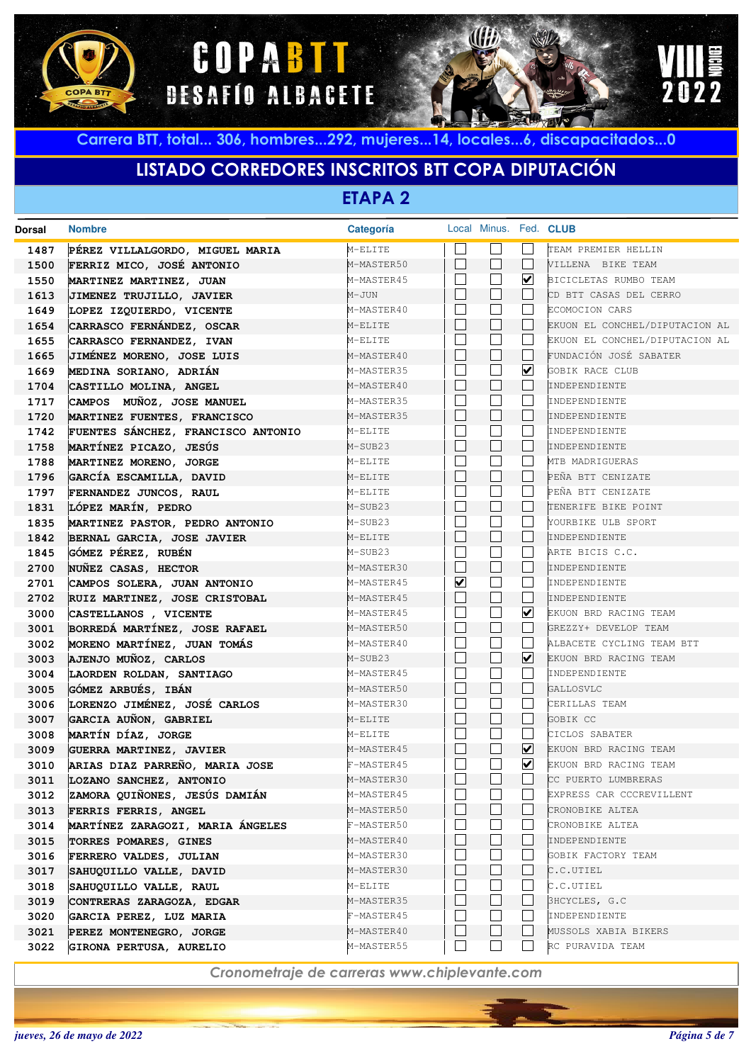





# **LISTADO CORREDORES INSCRITOS BTT COPA DIPUTACIÓN**

**ETAPA 2**

|      |                                    | Categoría  |                         |                             |                         | Local Minus. Fed. CLUB         |
|------|------------------------------------|------------|-------------------------|-----------------------------|-------------------------|--------------------------------|
| 1487 | PÉREZ VILLALGORDO, MIGUEL MARIA    | M-ELITE    |                         |                             |                         | TEAM PREMIER HELLIN            |
| 1500 | FERRIZ MICO, JOSÉ ANTONIO          | M-MASTER50 | $\Box$                  | $\Box$                      |                         | VILLENA BIKE TEAM              |
| 1550 | MARTINEZ MARTINEZ, JUAN            | M-MASTER45 | $\mathbf{I}$            | $\Box$                      | ☑                       | BICICLETAS RUMBO TEAM          |
| 1613 | JIMENEZ TRUJILLO, JAVIER           | M-JUN      |                         | $\Box$                      |                         | CD BTT CASAS DEL CERRO         |
| 1649 | LOPEZ IZQUIERDO, VICENTE           | M-MASTER40 |                         |                             |                         | ECOMOCION CARS                 |
| 1654 | CARRASCO FERNÁNDEZ, OSCAR          | M-ELITE    |                         | $\Box$                      |                         | EKUON EL CONCHEL/DIPUTACION AL |
| 1655 | CARRASCO FERNANDEZ, IVAN           | M-ELITE    |                         | $\sim$                      |                         | EKUON EL CONCHEL/DIPUTACION AL |
| 1665 | JIMÉNEZ MORENO, JOSE LUIS          | M-MASTER40 | П                       | $\Box$                      |                         | FUNDACIÓN JOSÉ SABATER         |
| 1669 | MEDINA SORIANO, ADRIÁN             | M-MASTER35 |                         |                             | $\overline{\mathbf{v}}$ | <b>GOBIK RACE CLUB</b>         |
| 1704 | CASTILLO MOLINA, ANGEL             | M-MASTER40 | $\mathbf{L}$            | $\Box$                      |                         | INDEPENDIENTE                  |
| 1717 | CAMPOS MUÑOZ, JOSE MANUEL          | M-MASTER35 |                         |                             |                         | INDEPENDIENTE                  |
| 1720 | MARTINEZ FUENTES, FRANCISCO        | M-MASTER35 | $\mathbf{L}$            | $\Box$                      |                         | INDEPENDIENTE                  |
| 1742 | FUENTES SÁNCHEZ, FRANCISCO ANTONIO | M-ELITE    |                         |                             |                         | INDEPENDIENTE                  |
| 1758 | MARTÍNEZ PICAZO, JESÚS             | M-SUB23    |                         | $\Box$                      |                         | INDEPENDIENTE                  |
| 1788 | MARTINEZ MORENO, JORGE             | M-ELITE    |                         |                             |                         | MTB MADRIGUERAS                |
| 1796 | GARCÍA ESCAMILLA, DAVID            | M-ELITE    |                         | $\Box$                      |                         | PEÑA BTT CENIZATE              |
| 1797 | FERNANDEZ JUNCOS, RAUL             | M-ELITE    |                         | L.                          |                         | PEÑA BTT CENIZATE              |
| 1831 | LÓPEZ MARÍN, PEDRO                 | M-SUB23    |                         | $\Box$                      |                         | TENERIFE BIKE POINT            |
| 1835 | MARTINEZ PASTOR, PEDRO ANTONIO     | M-SUB23    |                         |                             |                         | YOURBIKE ULB SPORT             |
| 1842 | BERNAL GARCIA, JOSE JAVIER         | M-ELITE    | $\perp$                 | $\Box$                      |                         | INDEPENDIENTE                  |
| 1845 | GÓMEZ PÉREZ, RUBÉN                 | M-SUB23    |                         |                             |                         | ARTE BICIS C.C.                |
| 2700 | NUÑEZ CASAS, HECTOR                | M-MASTER30 | $\perp$                 | $\Box$                      |                         | INDEPENDIENTE                  |
| 2701 | CAMPOS SOLERA, JUAN ANTONIO        | M-MASTER45 | $\overline{\mathbf{v}}$ | $\Box$                      |                         | INDEPENDIENTE                  |
| 2702 | RUIZ MARTINEZ, JOSE CRISTOBAL      | M-MASTER45 | П                       | $\Box$                      |                         | INDEPENDIENTE                  |
| 3000 | CASTELLANOS , VICENTE              | M-MASTER45 |                         |                             | $\overline{\mathbf{v}}$ | EKUON BRD RACING TEAM          |
| 3001 | BORREDÁ MARTÍNEZ, JOSE RAFAEL      | M-MASTER50 | $\mathbf{L}$            | $\Box$                      |                         | GREZZY+ DEVELOP TEAM           |
| 3002 | MORENO MARTÍNEZ, JUAN TOMÁS        | M-MASTER40 |                         |                             |                         | ALBACETE CYCLING TEAM BTT      |
| 3003 | AJENJO MUÑOZ, CARLOS               | M-SUB23    | $\perp$                 | $\Box$                      | ☑                       | EKUON BRD RACING TEAM          |
| 3004 | LAORDEN ROLDAN, SANTIAGO           | M-MASTER45 |                         |                             |                         | INDEPENDIENTE                  |
| 3005 | GÓMEZ ARBUÉS, IBÁN                 | M-MASTER50 | $\perp$                 | $\Box$                      |                         | GALLOSVLC                      |
| 3006 | LORENZO JIMÉNEZ, JOSÉ CARLOS       | M-MASTER30 |                         |                             |                         | CERILLAS TEAM                  |
| 3007 | GARCIA AUÑON, GABRIEL              | M-ELITE    | $\Box$                  | $\Box$                      |                         | GOBIK CC                       |
| 3008 | MARTÍN DÍAZ, JORGE                 | M-ELITE    |                         | $\mathcal{L}_{\mathcal{A}}$ |                         | CICLOS SABATER                 |
| 3009 | GUERRA MARTINEZ, JAVIER            | M-MASTER45 | $\Box$                  | $\Box$                      | $\boxed{\checkmark}$    | EKUON BRD RACING TEAM          |
| 3010 | ARIAS DIAZ PARREÑO, MARIA JOSE     | F-MASTER45 | $\mathcal{L}$           |                             | ☑                       | EKUON BRD RACING TEAM          |
| 3011 | LOZANO SANCHEZ, ANTONIO            | M-MASTER30 |                         |                             |                         | CC PUERTO LUMBRERAS            |
| 3012 | ZAMORA QUIÑONES, JESÚS DAMIÁN      | M-MASTER45 |                         |                             |                         | EXPRESS CAR CCCREVILLENT       |
| 3013 | FERRIS FERRIS, ANGEL               | M-MASTER50 |                         |                             |                         | CRONOBIKE ALTEA                |
| 3014 | MARTÍNEZ ZARAGOZI, MARIA ÁNGELES   | F-MASTER50 |                         |                             |                         | CRONOBIKE ALTEA                |
| 3015 | TORRES POMARES, GINES              | M-MASTER40 | $\mathbf{L}$            | $\mathbf{I}$                |                         | INDEPENDIENTE                  |
| 3016 | FERRERO VALDES, JULIAN             | M-MASTER30 |                         |                             |                         | GOBIK FACTORY TEAM             |
| 3017 | SAHUQUILLO VALLE, DAVID            | M-MASTER30 | $\mathbf{L}$            | $\overline{\phantom{a}}$    |                         | C.C.UTIEL                      |
| 3018 | SAHUQUILLO VALLE, RAUL             | M-ELITE    |                         |                             |                         | C.C.UTIEL                      |
| 3019 | CONTRERAS ZARAGOZA, EDGAR          | M-MASTER35 |                         | $\perp$                     |                         | 3HCYCLES, G.C                  |
| 3020 | GARCIA PEREZ, LUZ MARIA            | F-MASTER45 |                         |                             |                         | INDEPENDIENTE                  |
| 3021 | PEREZ MONTENEGRO, JORGE            | M-MASTER40 | $\mathbf{L}$            | $\perp$                     |                         | MUSSOLS XABIA BIKERS           |
| 3022 | GIRONA PERTUSA, AURELIO            | M-MASTER55 | $\Box$                  | $\Box$                      |                         | RC PURAVIDA TEAM               |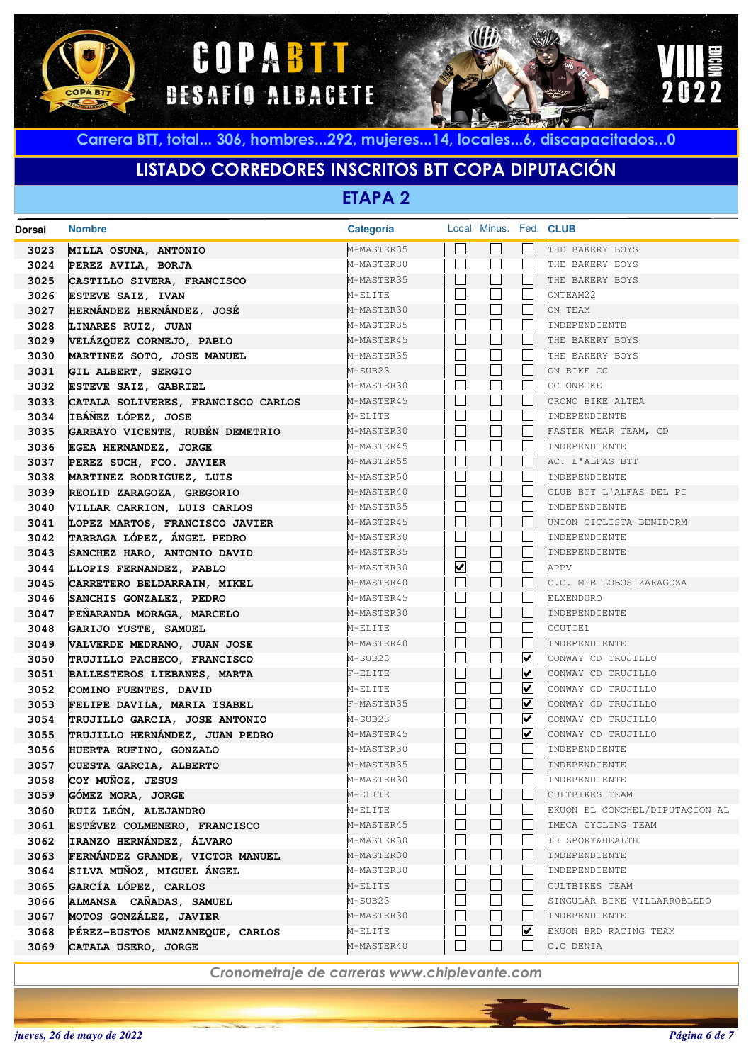





# **LISTADO CORREDORES INSCRITOS BTT COPA DIPUTACIÓN**

**ETAPA 2**

| Dorsal       | <b>Nombre</b>                                                | Categoría                |                         | Local Minus. Fed. CLUB       |                         |                                                  |
|--------------|--------------------------------------------------------------|--------------------------|-------------------------|------------------------------|-------------------------|--------------------------------------------------|
| 3023         | MILLA OSUNA, ANTONIO                                         | M-MASTER35               |                         |                              |                         | THE BAKERY BOYS                                  |
| 3024         | PEREZ AVILA, BORJA                                           | M-MASTER30               |                         | $\vert$ $\vert$              | L                       | THE BAKERY BOYS                                  |
| 3025         | CASTILLO SIVERA, FRANCISCO                                   | M-MASTER35               |                         | ⊔                            | L                       | THE BAKERY BOYS                                  |
| 3026         | ESTEVE SAIZ, IVAN                                            | M-ELITE                  |                         | $\mathbf{L}$                 | L.                      | ONTEAM22                                         |
| 3027         | HERNÁNDEZ HERNÁNDEZ, JOSÉ                                    | M-MASTER30               |                         | $\mathsf{L}$                 | L                       | ON TEAM                                          |
| 3028         | LINARES RUIZ, JUAN                                           | M-MASTER35               |                         | $\mathbf{L}$                 | L.                      | INDEPENDIENTE                                    |
| 3029         | VELÁZQUEZ CORNEJO, PABLO                                     | M-MASTER45               |                         | $\Box$                       | L                       | THE BAKERY BOYS                                  |
| 3030         | MARTINEZ SOTO, JOSE MANUEL                                   | M-MASTER35               |                         | $\mathbf{L}$                 |                         | THE BAKERY BOYS                                  |
| 3031         | GIL ALBERT, SERGIO                                           | M-SUB23                  |                         | $\Box$                       | L                       | ON BIKE CC                                       |
| 3032         | ESTEVE SAIZ, GABRIEL                                         | M-MASTER30               |                         | $\Box$                       | L.                      | CC ONBIKE                                        |
| 3033         | CATALA SOLIVERES, FRANCISCO CARLOS                           | M-MASTER45               |                         | $\Box$                       | L                       | CRONO BIKE ALTEA                                 |
| 3034         | IBÁÑEZ LÓPEZ, JOSE                                           | M-ELITE                  |                         | Г                            | L.                      | INDEPENDIENTE                                    |
| 3035         | GARBAYO VICENTE, RUBÉN DEMETRIO                              | M-MASTER30               |                         | $\Box$                       | L                       | FASTER WEAR TEAM, CD                             |
| 3036         | EGEA HERNANDEZ, JORGE                                        | M-MASTER45               |                         | $\mathbf{L}$                 |                         | INDEPENDIENTE                                    |
| 3037         | PEREZ SUCH, FCO. JAVIER                                      | M-MASTER55               |                         | $\Box$                       |                         | AC. L'ALFAS BTT                                  |
| 3038         | MARTINEZ RODRIGUEZ, LUIS                                     | M-MASTER50               |                         | $\Box$                       | L.                      | INDEPENDIENTE                                    |
| 3039         | REOLID ZARAGOZA, GREGORIO                                    | M-MASTER40               |                         | $\Box$                       |                         | CLUB BTT L'ALFAS DEL PI                          |
| 3040         | VILLAR CARRION, LUIS CARLOS                                  | M-MASTER35               |                         | $\Box$                       | L.                      | INDEPENDIENTE                                    |
| 3041         | LOPEZ MARTOS, FRANCISCO JAVIER                               | M-MASTER45               |                         | $\Box$                       |                         | UNION CICLISTA BENIDORM                          |
| 3042         | TARRAGA LÓPEZ, ÁNGEL PEDRO                                   | M-MASTER30               |                         | $\mathbf{L}$                 |                         | INDEPENDIENTE                                    |
| 3043         | SANCHEZ HARO, ANTONIO DAVID                                  | M-MASTER35               |                         | $\Box$                       | L                       | INDEPENDIENTE                                    |
| 3044         | LLOPIS FERNANDEZ, PABLO                                      | M-MASTER30               | $\overline{\mathbf{v}}$ | П                            | L.                      | APPV                                             |
| 3045         | CARRETERO BELDARRAIN, MIKEL                                  | M-MASTER40               |                         | $\Box$                       | L                       | C.C. MTB LOBOS ZARAGOZA                          |
| 3046         | SANCHIS GONZALEZ, PEDRO                                      | M-MASTER45               |                         | $\mathbf{L}$                 |                         | ELXENDURO                                        |
| 3047         | PEÑARANDA MORAGA, MARCELO                                    | M-MASTER30               |                         | $\Box$                       | L                       | INDEPENDIENTE                                    |
| 3048         | GARIJO YUSTE, SAMUEL                                         | M-ELITE                  |                         | $\mathbf{L}$                 |                         | CCUTIEL                                          |
| 3049         | VALVERDE MEDRANO, JUAN JOSE                                  | M-MASTER40               |                         | $\Box$                       | L                       | INDEPENDIENTE                                    |
| 3050         | TRUJILLO PACHECO, FRANCISCO                                  | M-SUB23                  |                         | $\mathbf{L}$                 | ⊻                       | CONWAY CD TRUJILLO                               |
| 3051         | BALLESTEROS LIEBANES, MARTA                                  | $F-ELITE$                |                         | $\mathbf{L}$                 | ⊻                       | CONWAY CD TRUJILLO                               |
| 3052         | COMINO FUENTES, DAVID                                        | M-ELITE                  |                         | $\mathbf{L}$                 | ⊻                       | CONWAY CD TRUJILLO                               |
| 3053         | FELIPE DAVILA, MARIA ISABEL                                  | F-MASTER35               |                         | $\mathbf{L}$                 | ⊻                       | CONWAY CD TRUJILLO                               |
| 3054         | TRUJILLO GARCIA, JOSE ANTONIO                                | M-SUB23                  |                         |                              | ⊻                       | CONWAY CD TRUJILLO                               |
| 3055         | TRUJILLO HERNÁNDEZ, JUAN PEDRO                               | M-MASTER45               |                         | $\mathbf{L}$<br>$\mathbf{L}$ | $\overline{\mathbf{v}}$ | CONWAY CD TRUJILLO                               |
| 3056         | HUERTA RUFINO, GONZALO                                       | M-MASTER30               |                         | $\overline{\phantom{a}}$     |                         | INDEPENDIENTE                                    |
| 3057         | CUESTA GARCIA, ALBERTO                                       | M-MASTER35               |                         | L                            |                         | INDEPENDIENTE                                    |
| 3058         | COY MUÑOZ, JESUS                                             | M-MASTER30               |                         |                              |                         | INDEPENDIENTE                                    |
| 3059         | GÓMEZ MORA, JORGE                                            | M-ELITE                  |                         |                              |                         | CULTBIKES TEAM<br>EKUON EL CONCHEL/DIPUTACION AL |
| 3060         | RUIZ LEÓN, ALEJANDRO                                         | M-ELITE                  |                         | $\perp$                      |                         |                                                  |
| 3061         | ESTÉVEZ COLMENERO, FRANCISCO<br>IRANZO HERNÁNDEZ, ÁLVARO     | M-MASTER45               |                         |                              |                         | IMECA CYCLING TEAM                               |
| 3062<br>3063 |                                                              | M-MASTER30<br>M-MASTER30 |                         | $\mathsf{L}$                 |                         | IH SPORT&HEALTH<br>INDEPENDIENTE                 |
|              | FERNÁNDEZ GRANDE, VICTOR MANUEL<br>SILVA MUÑOZ, MIGUEL ÁNGEL |                          |                         |                              |                         |                                                  |
| 3064         | GARCÍA LÓPEZ, CARLOS                                         | M-MASTER30<br>M-ELITE    |                         | ⊔                            |                         | INDEPENDIENTE<br>CULTBIKES TEAM                  |
| 3065<br>3066 |                                                              | M-SUB23                  |                         |                              |                         | SINGULAR BIKE VILLARROBLEDO                      |
|              | ALMANSA CAÑADAS, SAMUEL                                      | M-MASTER30               |                         | $\perp$                      | $\mathbf{I}$            | INDEPENDIENTE                                    |
| 3067<br>3068 | MOTOS GONZÁLEZ, JAVIER<br>PÉREZ-BUSTOS MANZANEQUE, CARLOS    | M-ELITE                  |                         |                              | ⊻                       | EKUON BRD RACING TEAM                            |
|              |                                                              | M-MASTER40               |                         | П                            |                         | C.C DENIA                                        |
| 3069         | CATALA USERO, JORGE                                          |                          |                         |                              |                         |                                                  |